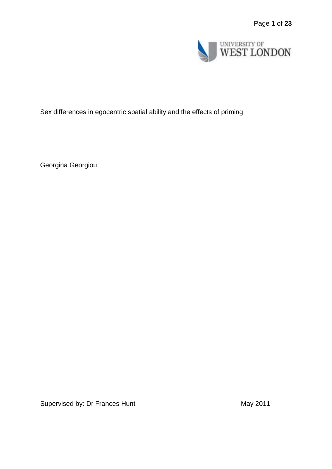

# Sex differences in egocentric spatial ability and the effects of priming

Georgina Georgiou

Supervised by: Dr Frances Hunt May 2011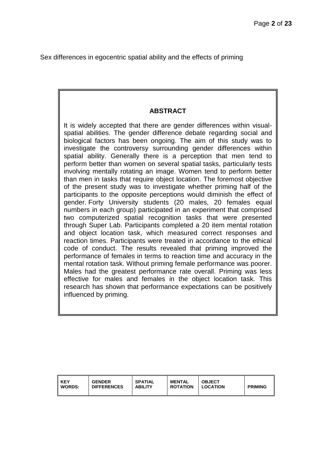Sex differences in egocentric spatial ability and the effects of priming

# **ABSTRACT**

It is widely accepted that there are gender differences within visualspatial abilities. The gender difference debate regarding social and biological factors has been ongoing. The aim of this study was to investigate the controversy surrounding gender differences within spatial ability. Generally there is a perception that men tend to perform better than women on several spatial tasks, particularly tests involving mentally rotating an image. Women tend to perform better than men in tasks that require object location. The foremost objective of the present study was to investigate whether priming half of the participants to the opposite perceptions would diminish the effect of gender. Forty University students (20 males, 20 females equal numbers in each group) participated in an experiment that comprised two computerized spatial recognition tasks that were presented through Super Lab. Participants completed a 20 item mental rotation and object location task, which measured correct responses and reaction times. Participants were treated in accordance to the ethical code of conduct. The results revealed that priming improved the performance of females in terms to reaction time and accuracy in the mental rotation task. Without priming female performance was poorer. Males had the greatest performance rate overall. Priming was less effective for males and females in the object location task. This research has shown that performance expectations can be positively influenced by priming.

| KEY           | <b>GENDER</b>      | <b>SPATIAL</b> | <b>MENTAL</b>   | <b>OBJECT</b>   | <b>PRIMING</b> |
|---------------|--------------------|----------------|-----------------|-----------------|----------------|
| <b>WORDS:</b> | <b>DIFFERENCES</b> | <b>ABILITY</b> | <b>ROTATION</b> | <b>LOCATION</b> |                |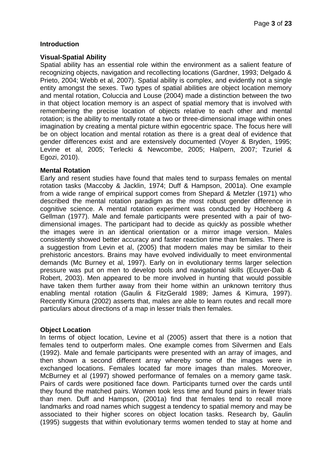### **Introduction**

#### **Visual-Spatial Ability**

Spatial ability has an essential role within the environment as a salient feature of recognizing objects, navigation and recollecting locations (Gardner, 1993; Delgado & Prieto, 2004; Webb et al, 2007). Spatial ability is complex, and evidently not a single entity amongst the sexes. Two types of spatial abilities are object location memory and mental rotation, Coluccia and Louse (2004) made a distinction between the two in that object location memory is an aspect of spatial memory that is involved with remembering the precise location of objects relative to each other and mental rotation; is the ability to mentally rotate a two or three-dimensional image within ones imagination by creating a mental picture within egocentric space. The focus here will be on object location and mental rotation as there is a great deal of evidence that gender differences exist and are extensively documented (Voyer & Bryden, 1995; Levine et al, 2005; Terlecki & Newcombe, 2005; Halpern, 2007; Tzuriel & Egozi, 2010).

#### **Mental Rotation**

Early and resent studies have found that males tend to surpass females on mental rotation tasks (Maccoby & Jacklin, 1974; Duff & Hampson, 2001a). One example from a wide range of empirical support comes from Shepard & Metzler (1971) who described the mental rotation paradigm as the most robust gender difference in cognitive science. A mental rotation experiment was conducted by Hochberg & Gellman (1977). Male and female participants were presented with a pair of twodimensional images. The participant had to decide as quickly as possible whether the images were in an identical orientation or a mirror image version. Males consistently showed better accuracy and faster reaction time than females. There is a suggestion from Levin et al, (2005) that modern males may be similar to their prehistoric ancestors. Brains may have evolved individually to meet environmental demands (Mc Burney et al, 1997). Early on in evolutionary terms larger selection pressure was put on men to develop tools and navigational skills (Ecuyer-Dab & Robert, 2003). Men appeared to be more involved in hunting that would possible have taken them further away from their home within an unknown territory thus enabling mental rotation (Gaulin & FitzGerald 1989; James & Kimura, 1997). Recently Kimura (2002) asserts that, males are able to learn routes and recall more particulars about directions of a map in lesser trials then females.

### **Object Location**

In terms of object location, Levine et al (2005) assert that there is a notion that females tend to outperform males. One example comes from Silvermen and Eals (1992). Male and female participants were presented with an array of images, and then shown a second different array whereby some of the images were in exchanged locations. Females located far more images than males. Moreover, McBurney et al (1997) showed performance of females on a memory game task. Pairs of cards were positioned face down. Participants turned over the cards until they found the matched pairs. Women took less time and found pairs in fewer trials than men. Duff and Hampson, (2001a) find that females tend to recall more landmarks and road names which suggest a tendency to spatial memory and may be associated to their higher scores on object location tasks. Research by, Gaulin (1995) suggests that within evolutionary terms women tended to stay at home and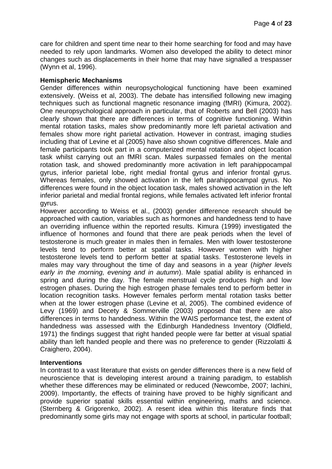care for children and spent time near to their home searching for food and may have needed to rely upon landmarks. Women also developed the ability to detect minor changes such as displacements in their home that may have signalled a trespasser (Wynn et al, 1996).

### **Hemispheric Mechanisms**

Gender differences within neuropsychological functioning have been examined extensively. (Weiss et al, 2003). The debate has intensified following new imaging techniques such as functional magnetic resonance imaging (fMRI) (Kimura, 2002). One neuropsychological approach in particular, that of Roberts and Bell (2003) has clearly shown that there are differences in terms of cognitive functioning. Within mental rotation tasks, males show predominantly more left parietal activation and females show more right parietal activation. However in contrast, imaging studies including that of Levine et al (2005) have also shown cognitive differences. Male and female participants took part in a computerized mental rotation and object location task whilst carrying out an fMRI scan. Males surpassed females on the mental rotation task, and showed predominantly more activation in left parahippocampal gyrus, inferior parietal lobe, right medial frontal gyrus and inferior frontal gyrus. Whereas females, only showed activation in the left parahippocampal gyrus. No differences were found in the object location task, males showed activation in the left inferior parietal and medial frontal regions, while females activated left inferior frontal gyrus.

However according to Weiss et al., (2003) gender difference research should be approached with caution, variables such as hormones and handedness tend to have an overriding influence within the reported results. Kimura (1999) investigated the influence of hormones and found that there are peak periods when the level of testosterone is much greater in males then in females. Men with lower testosterone levels tend to perform better at spatial tasks. However women with higher testosterone levels tend to perform better at spatial tasks. Testosterone levels in males may vary throughout the time of day and seasons in a year (*higher levels early in the morning, evening and in autumn*). Male spatial ability is enhanced in spring and during the day. The female menstrual cycle produces high and low estrogen phases. During the high estrogen phase females tend to perform better in location recognition tasks. However females perform mental rotation tasks better when at the lower estrogen phase (Levine et al, 2005). The combined evidence of Levy (1969) and Decety & Sommerville (2003) proposed that there are also differences in terms to handedness. Within the WAIS performance test, the extent of handedness was assessed with the Edinburgh Handedness Inventory (Oldfield, 1971) the findings suggest that right handed people were far better at visual spatial ability than left handed people and there was no preference to gender (Rizzolatti & Craighero, 2004).

### **Interventions**

In contrast to a vast literature that exists on gender differences there is a new field of neuroscience that is developing interest around a training paradigm, to establish whether these differences may be eliminated or reduced (Newcombe, 2007; Iachini, 2009). Importantly, the effects of training have proved to be highly significant and provide superior spatial skills essential within engineering, maths and science. (Sternberg & Grigorenko, 2002). A resent idea within this literature finds that predominantly some girls may not engage with sports at school, in particular football;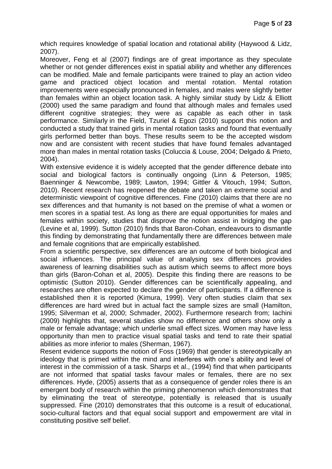which requires knowledge of spatial location and rotational ability (Haywood & Lidz, 2007).

Moreover, Feng et al (2007) findings are of great importance as they speculate whether or not gender differences exist in spatial ability and whether any differences can be modified. Male and female participants were trained to play an action video game and practiced object location and mental rotation. Mental rotation improvements were especially pronounced in females, and males were slightly better than females within an object location task. A highly similar study by Lidz & Elliott (2000) used the same paradigm and found that although males and females used different cognitive strategies; they were as capable as each other in task performance. Similarly in the Field, Tzuriel & Egozi (2010) support this notion and conducted a study that trained girls in mental rotation tasks and found that eventually girls performed better than boys. These results seem to be the accepted wisdom now and are consistent with recent studies that have found females advantaged more than males in mental rotation tasks (Coluccia & Louse, 2004; Delgado & Prieto, 2004).

With extensive evidence it is widely accepted that the gender difference debate into social and biological factors is continually ongoing (Linn & Peterson, 1985; Baenninger & Newcombe, 1989; Lawton, 1994; Gittler & Vitouch, 1994; Sutton, 2010). Recent research has reopened the debate and taken an extreme social and deterministic viewpoint of cognitive differences. Fine (2010) claims that there are no sex differences and that humanity is not based on the premise of what a women or men scores in a spatial test. As long as there are equal opportunities for males and females within society, studies that disprove the notion assist in bridging the gap (Levine et al, 1999). Sutton (2010) finds that Baron-Cohan, endeavours to dismantle this finding by demonstrating that fundamentally there are differences between male and female cognitions that are empirically established.

From a scientific perspective, sex differences are an outcome of both biological and social influences. The principal value of analysing sex differences provides awareness of learning disabilities such as autism which seems to affect more boys than girls (Baron-Cohan et al, 2005). Despite this finding there are reasons to be optimistic (Sutton 2010). Gender differences can be scientifically appealing, and researches are often expected to declare the gender of participants. If a difference is established then it is reported (Kimura, 1999). Very often studies claim that sex differences are hard wired but in actual fact the sample sizes are small (Hamilton, 1995; Silverman et al, 2000; Schmader, 2002). Furthermore research from; Iachini (2009) highlights that, several studies show no difference and others show only a male or female advantage; which underlie small effect sizes. Women may have less opportunity than men to practice visual spatial tasks and tend to rate their spatial abilities as more inferior to males (Sherman, 1967).

Resent evidence supports the notion of Foss (1969) that gender is stereotypically an ideology that is primed within the mind and interferes with one's ability and level of interest in the commission of a task. Sharps et al., (1994) find that when participants are not informed that spatial tasks favour males or females, there are no sex differences. Hyde, (2005) asserts that as a consequence of gender roles there is an emergent body of research within the priming phenomenon which demonstrates that by eliminating the treat of stereotype, potentially is released that is usually suppressed. Fine (2010) demonstrates that this outcome is a result of educational, socio-cultural factors and that equal social support and empowerment are vital in constituting positive self belief.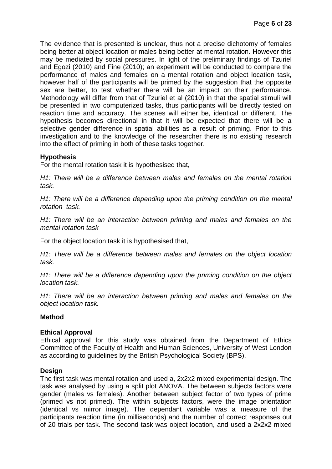The evidence that is presented is unclear, thus not a precise dichotomy of females being better at object location or males being better at mental rotation. However this may be mediated by social pressures. In light of the preliminary findings of Tzuriel and Egozi (2010) and Fine (2010); an experiment will be conducted to compare the performance of males and females on a mental rotation and object location task, however half of the participants will be primed by the suggestion that the opposite sex are better, to test whether there will be an impact on their performance. Methodology will differ from that of Tzuriel et al (2010) in that the spatial stimuli will be presented in two computerized tasks, thus participants will be directly tested on reaction time and accuracy. The scenes will either be, identical or different. The hypothesis becomes directional in that it will be expected that there will be a selective gender difference in spatial abilities as a result of priming. Prior to this investigation and to the knowledge of the researcher there is no existing research into the effect of priming in both of these tasks together.

### **Hypothesis**

For the mental rotation task it is hypothesised that,

*H1: There will be a difference between males and females on the mental rotation task.*

*H1: There will be a difference depending upon the priming condition on the mental rotation task.* 

*H1: There will be an interaction between priming and males and females on the mental rotation task*

For the object location task it is hypothesised that,

*H1: There will be a difference between males and females on the object location task.*

*H1: There will be a difference depending upon the priming condition on the object location task.* 

*H1: There will be an interaction between priming and males and females on the object location task.*

#### **Method**

#### **Ethical Approval**

Ethical approval for this study was obtained from the Department of Ethics Committee of the Faculty of Health and Human Sciences, University of West London as according to guidelines by the British Psychological Society (BPS).

### **Design**

The first task was mental rotation and used a, 2x2x2 mixed experimental design. The task was analysed by using a split plot ANOVA. The between subjects factors were gender (males vs females). Another between subject factor of two types of prime (primed vs not primed). The within subjects factors, were the image orientation (identical vs mirror image). The dependant variable was a measure of the participants reaction time (in milliseconds) and the number of correct responses out of 20 trials per task. The second task was object location, and used a 2x2x2 mixed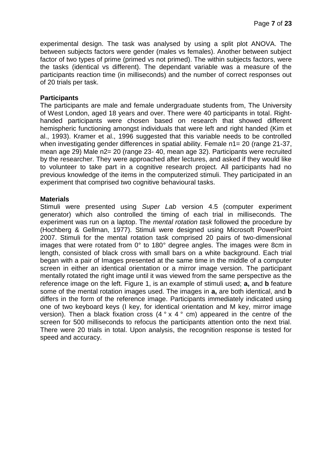experimental design. The task was analysed by using a split plot ANOVA. The between subjects factors were gender (males vs females). Another between subject factor of two types of prime (primed vs not primed). The within subjects factors, were the tasks (identical vs different). The dependant variable was a measure of the participants reaction time (in milliseconds) and the number of correct responses out of 20 trials per task.

#### **Participants**

The participants are male and female undergraduate students from, The University of West London, aged 18 years and over. There were 40 participants in total. Righthanded participants were chosen based on research that showed different hemispheric functioning amongst individuals that were left and right handed (Kim et al., 1993). Kramer et al., 1996 suggested that this variable needs to be controlled when investigating gender differences in spatial ability. Female n1 = 20 (range 21-37, mean age 29) Male n2= 20 (range 23- 40, mean age 32). Participants were recruited by the researcher. They were approached after lectures, and asked if they would like to volunteer to take part in a cognitive research project. All participants had no previous knowledge of the items in the computerized stimuli. They participated in an experiment that comprised two cognitive behavioural tasks.

#### **Materials**

Stimuli were presented using *Super Lab* version 4.5 (computer experiment generator) which also controlled the timing of each trial in milliseconds. The experiment was run on a laptop. The *mental rotation task* followed the procedure by (Hochberg & Gellman, 1977). Stimuli were designed using Microsoft PowerPoint 2007. Stimuli for the mental rotation task comprised 20 pairs of two-dimensional images that were rotated from 0° to 180° degree angles. The images were 8cm in length, consisted of black cross with small bars on a white background. Each trial began with a pair of Images presented at the same time in the middle of a computer screen in either an identical orientation or a mirror image version. The participant mentally rotated the right image until it was viewed from the same perspective as the reference image on the left. Figure 1, is an example of stimuli used; **a,** and **b** feature some of the mental rotation images used. The images in **a,** are both identical, and **b** differs in the form of the reference image. Participants immediately indicated using one of two keyboard keys (I key, for identical orientation and M key, mirror image version). Then a black fixation cross (4 ° x 4 ° cm) appeared in the centre of the screen for 500 milliseconds to refocus the participants attention onto the next trial. There were 20 trials in total. Upon analysis, the recognition response is tested for speed and accuracy.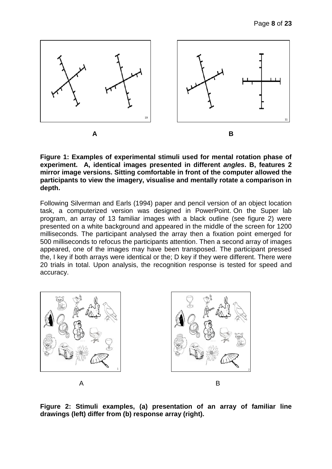

**Figure 1: Examples of experimental stimuli used for mental rotation phase of experiment. A, identical images presented in different** *angles***. B, features 2 mirror image versions. Sitting comfortable in front of the computer allowed the participants to view the imagery, visualise and mentally rotate a comparison in depth.**

Following Silverman and Earls (1994) paper and pencil version of an object location task, a computerized version was designed in PowerPoint. On the Super lab program, an array of 13 familiar images with a black outline (see figure 2) were presented on a white background and appeared in the middle of the screen for 1200 milliseconds. The participant analysed the array then a fixation point emerged for 500 milliseconds to refocus the participants attention. Then a second array of images appeared, one of the images may have been transposed. The participant pressed the, I key if both arrays were identical or the; D key if they were different. There were 20 trials in total. Upon analysis, the recognition response is tested for speed and accuracy.



**Figure 2: Stimuli examples, (a) presentation of an array of familiar line drawings (left) differ from (b) response array (right).**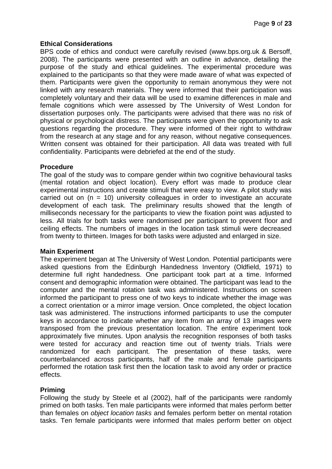### **Ethical Considerations**

BPS code of ethics and conduct were carefully revised [\(www.bps.org.uk](http://www.bps.org.uk/) & Bersoff, 2008). The participants were presented with an outline in advance, detailing the purpose of the study and ethical guidelines. The experimental procedure was explained to the participants so that they were made aware of what was expected of them. Participants were given the opportunity to remain anonymous they were not linked with any research materials. They were informed that their participation was completely voluntary and their data will be used to examine differences in male and female cognitions which were assessed by The University of West London for dissertation purposes only. The participants were advised that there was no risk of physical or psychological distress. The participants were given the opportunity to ask questions regarding the procedure. They were informed of their right to withdraw from the research at any stage and for any reason, without negative consequences. Written consent was obtained for their participation. All data was treated with full confidentiality. Participants were debriefed at the end of the study.

### **Procedure**

The goal of the study was to compare gender within two cognitive behavioural tasks (mental rotation and object location). Every effort was made to produce clear experimental instructions and create stimuli that were easy to view. A pilot study was carried out on  $(n = 10)$  university colleagues in order to investigate an accurate development of each task. The preliminary results showed that the length of milliseconds necessary for the participants to view the fixation point was adjusted to less. All trials for both tasks were randomised per participant to prevent floor and ceiling effects. The numbers of images in the location task stimuli were decreased from twenty to thirteen. Images for both tasks were adjusted and enlarged in size.

### **Main Experiment**

The experiment began at The University of West London. Potential participants were asked questions from the Edinburgh Handedness Inventory (Oldfield, 1971) to determine full right handedness. One participant took part at a time. Informed consent and demographic information were obtained. The participant was lead to the computer and the mental rotation task was administered. Instructions on screen informed the participant to press one of two keys to indicate whether the image was a correct orientation or a mirror image version. Once completed, the object location task was administered. The instructions informed participants to use the computer keys in accordance to indicate whether any item from an array of 13 images were transposed from the previous presentation location. The entire experiment took approximately five minutes. Upon analysis the recognition responses of both tasks were tested for accuracy and reaction time out of twenty trials. Trials were randomized for each participant. The presentation of these tasks, were counterbalanced across participants, half of the male and female participants performed the rotation task first then the location task to avoid any order or practice effects.

# **Priming**

Following the study by Steele et al (2002), half of the participants were randomly primed on both tasks. Ten male participants were informed that males perform better than females on *object location tasks* and females perform better on mental rotation tasks. Ten female participants were informed that males perform better on object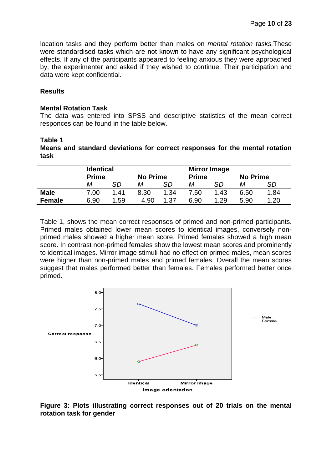location tasks and they perform better than males on *mental rotation tasks.*These were standardised tasks which are not known to have any significant psychological effects. If any of the participants appeared to feeling anxious they were approached by, the experimenter and asked if they wished to continue. Their participation and data were kept confidential.

#### **Results**

#### **Mental Rotation Task**

The data was entered into SPSS and descriptive statistics of the mean correct responces can be found in the table below.

### **Table 1**

**Means and standard deviations for correct responses for the mental rotation task**

|               | <b>Identical</b><br><b>Prime</b> |      | <b>No Prime</b> |      | <b>Mirror Image</b><br><b>Prime</b> | <b>No Prime</b> |      |      |
|---------------|----------------------------------|------|-----------------|------|-------------------------------------|-----------------|------|------|
|               | М                                | SD   | Μ               | SD   | М                                   | SD              | М    | SD   |
| <b>Male</b>   | 7.00                             | 1.41 | 8.30            | 1.34 | 7.50                                | 1.43            | 6.50 | 1.84 |
| <b>Female</b> | 6.90                             | .59  | 4.90            | 1.37 | 6.90                                | 1.29            | 5.90 | 1.20 |

Table 1, shows the mean correct responses of primed and non-primed participants. Primed males obtained lower mean scores to identical images, conversely nonprimed males showed a higher mean score. Primed females showed a high mean score. In contrast non-primed females show the lowest mean scores and prominently to identical images. Mirror image stimuli had no effect on primed males, mean scores were higher than non-primed males and primed females. Overall the mean scores suggest that males performed better than females. Females performed better once primed.



**Figure 3: Plots illustrating correct responses out of 20 trials on the mental rotation task for gender**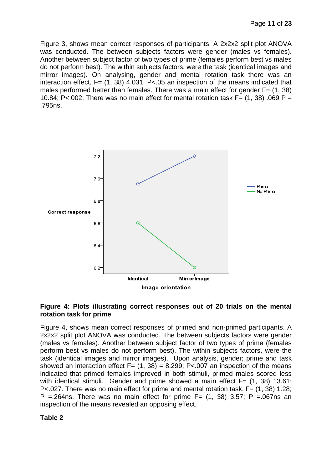Figure 3, shows mean correct responses of participants. A 2x2x2 split plot ANOVA was conducted. The between subjects factors were gender (males vs females). Another between subject factor of two types of prime (females perform best vs males do not perform best). The within subjects factors, were the task (identical images and mirror images). On analysing, gender and mental rotation task there was an interaction effect,  $F = (1, 38)$  4.031; P<.05 an inspection of the means indicated that males performed better than females. There was a main effect for gender  $F = (1, 38)$ 10.84; P<.002. There was no main effect for mental rotation task  $F = (1, 38)$ .069 P = .795ns.



#### **Figure 4: Plots illustrating correct responses out of 20 trials on the mental rotation task for prime**

Figure 4, shows mean correct responses of primed and non-primed participants. A 2x2x2 split plot ANOVA was conducted. The between subjects factors were gender (males vs females). Another between subject factor of two types of prime (females perform best vs males do not perform best). The within subjects factors, were the task (identical images and mirror images). Upon analysis, gender; prime and task showed an interaction effect  $F = (1, 38) = 8.299$ ; P<.007 an inspection of the means indicated that primed females improved in both stimuli, primed males scored less with identical stimuli. Gender and prime showed a main effect F= (1, 38) 13.61; P<.027. There was no main effect for prime and mental rotation task. F= (1, 38) 1.28; P =.264ns. There was no main effect for prime  $F = (1, 38)$  3.57; P =.067ns an inspection of the means revealed an opposing effect.

#### **Table 2**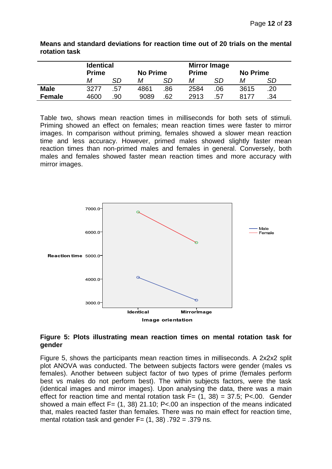|               | <b>Identical</b> |     |      |                                 |      | <b>Mirror Image</b> |                 |     |  |  |  |
|---------------|------------------|-----|------|---------------------------------|------|---------------------|-----------------|-----|--|--|--|
|               | <b>Prime</b>     |     |      | <b>No Prime</b><br><b>Prime</b> |      |                     | <b>No Prime</b> |     |  |  |  |
|               | М                | SD  | Μ    | SD                              | Μ    | SD                  | Μ               | SD  |  |  |  |
| <b>Male</b>   | 3277             | .57 | 4861 | .86                             | 2584 | .06                 | 3615            | .20 |  |  |  |
| <b>Female</b> | 4600             | .90 | 9089 | .62                             | 2913 | .57                 | 8177            | .34 |  |  |  |

**Means and standard deviations for reaction time out of 20 trials on the mental rotation task**

Table two, shows mean reaction times in milliseconds for both sets of stimuli. Priming showed an effect on females; mean reaction times were faster to mirror images. In comparison without priming, females showed a slower mean reaction time and less accuracy. However, primed males showed slightly faster mean reaction times than non-primed males and females in general. Conversely, both males and females showed faster mean reaction times and more accuracy with mirror images.



#### **Figure 5: Plots illustrating mean reaction times on mental rotation task for gender**

Figure 5, shows the participants mean reaction times in milliseconds. A 2x2x2 split plot ANOVA was conducted. The between subjects factors were gender (males vs females). Another between subject factor of two types of prime (females perform best vs males do not perform best). The within subjects factors, were the task (identical images and mirror images). Upon analysing the data, there was a main effect for reaction time and mental rotation task  $F = (1, 38) = 37.5$ ; P<.00. Gender showed a main effect  $F = (1, 38)$  21.10; P<.00 an inspection of the means indicated that, males reacted faster than females. There was no main effect for reaction time, mental rotation task and gender  $F = (1, 38)$ . 792 = .379 ns.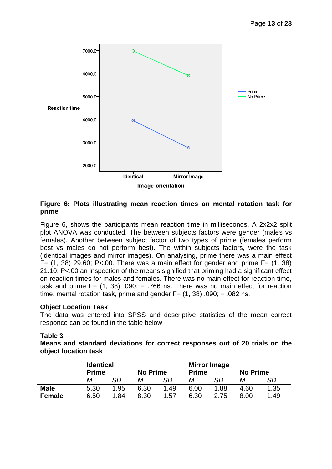

### **Figure 6: Plots illustrating mean reaction times on mental rotation task for prime**

Figure 6, shows the participants mean reaction time in milliseconds. A 2x2x2 split plot ANOVA was conducted. The between subjects factors were gender (males vs females). Another between subject factor of two types of prime (females perform best vs males do not perform best). The within subjects factors, were the task (identical images and mirror images). On analysing, prime there was a main effect  $F = (1, 38)$  29.60; P<.00. There was a main effect for gender and prime  $F = (1, 38)$ 21.10; P<.00 an inspection of the means signified that priming had a significant effect on reaction times for males and females. There was no main effect for reaction time, task and prime  $F = (1, 38)$  .090;  $= .766$  ns. There was no main effect for reaction time, mental rotation task, prime and gender  $F = (1, 38)$ . 090; = .082 ns.

### **Object Location Task**

The data was entered into SPSS and descriptive statistics of the mean correct responce can be found in the table below.

### **Table 3**

|                      |  |  | Means and standard deviations for correct responses out of 20 trials on the |  |  |  |
|----------------------|--|--|-----------------------------------------------------------------------------|--|--|--|
| object location task |  |  |                                                                             |  |  |  |

|               | <b>Identical</b><br><b>Prime</b> |      | <b>No Prime</b> |      | <b>Mirror Image</b><br><b>No Prime</b><br><b>Prime</b> |      |      |      |  |
|---------------|----------------------------------|------|-----------------|------|--------------------------------------------------------|------|------|------|--|
|               | М                                | SD   | М               | SD   | м                                                      | SD   | Μ    | SD   |  |
| <b>Male</b>   | 5.30                             | 1.95 | 6.30            | 1.49 | 6.00                                                   | 1.88 | 4.60 | 1.35 |  |
| <b>Female</b> | 6.50                             | 1.84 | 8.30            | 1.57 | 6.30                                                   | 2.75 | 8.00 | 1.49 |  |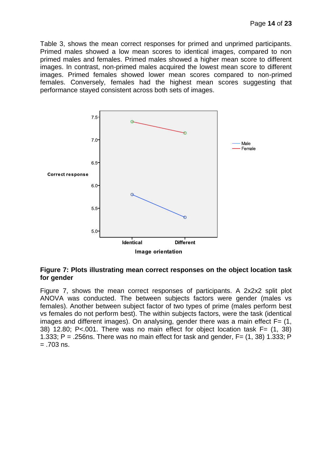Table 3, shows the mean correct responses for primed and unprimed participants. Primed males showed a low mean scores to identical images, compared to non primed males and females. Primed males showed a higher mean score to different images. In contrast, non-primed males acquired the lowest mean score to different images. Primed females showed lower mean scores compared to non-primed females. Conversely, females had the highest mean scores suggesting that performance stayed consistent across both sets of images.



#### **Figure 7: Plots illustrating mean correct responses on the object location task for gender**

Figure 7, shows the mean correct responses of participants. A 2x2x2 split plot ANOVA was conducted. The between subjects factors were gender (males vs females). Another between subject factor of two types of prime (males perform best vs females do not perform best). The within subjects factors, were the task (identical images and different images). On analysing, gender there was a main effect  $F = (1, 1)$ 38) 12.80; P<.001. There was no main effect for object location task F= (1, 38) 1.333; P = .256ns. There was no main effect for task and gender,  $F = (1, 38)$  1.333; P  $= .703$  ns.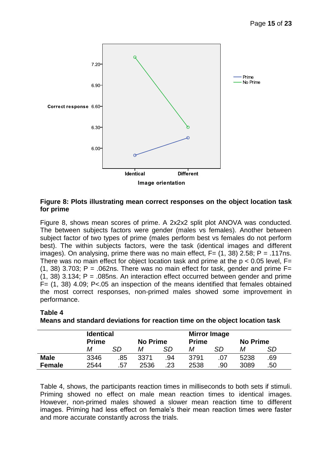

### **Figure 8: Plots illustrating mean correct responses on the object location task for prime**

Figure 8, shows mean scores of prime. A 2x2x2 split plot ANOVA was conducted. The between subjects factors were gender (males vs females). Another between subject factor of two types of prime (males perform best vs females do not perform best). The within subjects factors, were the task (identical images and different images). On analysing, prime there was no main effect,  $F = (1, 38)$  2.58; P = .117ns. There was no main effect for object location task and prime at the  $p < 0.05$  level, F= (1, 38) 3.703; P = .062ns. There was no main effect for task, gender and prime  $F=$  $(1, 38)$  3.134; P = .085ns. An interaction effect occurred between gender and prime F= (1, 38) 4.09; P<.05 an inspection of the means identified that females obtained the most correct responses, non-primed males showed some improvement in performance.

|               | <b>Identical</b><br><b>Prime</b> |     | <b>No Prime</b> |    | <b>Mirror Image</b><br><b>Prime</b><br><b>No Prime</b> |     |      |     |  |
|---------------|----------------------------------|-----|-----------------|----|--------------------------------------------------------|-----|------|-----|--|
|               | М                                | SD  | М               | SD | М                                                      | SD  | М    | SD  |  |
| <b>Male</b>   | 3346                             | .85 | 3371            | 94 | 3791                                                   | .07 | 5238 | .69 |  |
| <b>Female</b> | 2544                             | .57 | 2536            | 23 | 2538                                                   | .90 | 3089 | .50 |  |

# **Means and standard deviations for reaction time on the object location task**

**Table 4**

Table 4, shows, the participants reaction times in milliseconds to both sets if stimuli. Priming showed no effect on male mean reaction times to identical images. However, non-primed males showed a slower mean reaction time to different images. Priming had less effect on female's their mean reaction times were faster and more accurate constantly across the trials.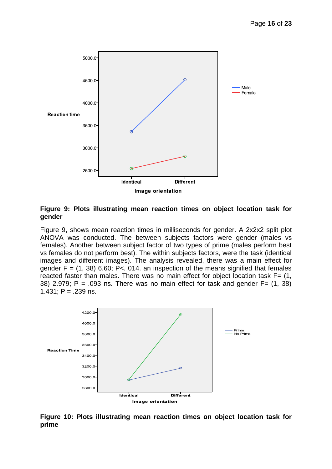

#### **Figure 9: Plots illustrating mean reaction times on object location task for gender**

Figure 9, shows mean reaction times in milliseconds for gender. A 2x2x2 split plot ANOVA was conducted. The between subjects factors were gender (males vs females). Another between subject factor of two types of prime (males perform best vs females do not perform best). The within subjects factors, were the task (identical images and different images). The analysis revealed, there was a main effect for gender  $F = (1, 38)$  6.60; P< 014. an inspection of the means signified that females reacted faster than males. There was no main effect for object location task  $F = (1, 1)$ 38) 2.979; P = .093 ns. There was no main effect for task and gender  $F = (1, 38)$ 1.431;  $P = 0.239$  ns.



**Figure 10: Plots illustrating mean reaction times on object location task for prime**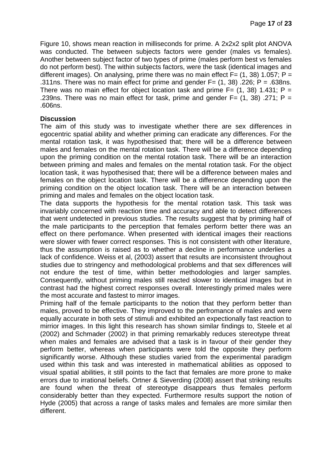Figure 10, shows mean reaction in milliseconds for prime. A 2x2x2 split plot ANOVA was conducted. The between subjects factors were gender (males vs females). Another between subject factor of two types of prime (males perform best vs females do not perform best). The within subjects factors, were the task (identical images and different images). On analysing, prime there was no main effect  $F = (1, 38)$  1.057; P = .311ns. There was no main effect for prime and gender  $F = (1, 38)$ . 226; P = .638ns. There was no main effect for object location task and prime  $F = (1, 38)$  1.431; P = .239ns. There was no main effect for task, prime and gender  $F = (1, 38)$ . 271; P = .606ns.

### **Discussion**

The aim of this study was to investigate whether there are sex differences in egocentric spatial ability and whether priming can eradicate any differences. For the mental rotation task, it was hypothesised that; there will be a difference between males and females on the mental rotation task. There will be a difference depending upon the priming condition on the mental rotation task. There will be an interaction between priming and males and females on the mental rotation task. For the object location task, it was hypothesised that; there will be a difference between males and females on the object location task. There will be a difference depending upon the priming condition on the object location task. There will be an interaction between priming and males and females on the object location task.

The data supports the hypothesis for the mental rotation task. This task was invariably concerned with reaction time and accuracy and able to detect differences that went undetected in previous studies. The results suggest that by priming half of the male participants to the perception that females perform better there was an effect on there perfomance. When presented with identical images their reactions were slower with fewer correct responses. This is not consistent with other literature, thus the assumption is raised as to whether a decline in performance underlies a lack of confidence. Weiss et al, (2003) assert that results are inconsistent throughout studies due to stringency and methodological problems and that sex differences will not endure the test of time, within better methodologies and larger samples. Consequently, without priming males still reacted slower to identical images but in contrast had the highest correct responses overall. Interestingly primed males were the most accurate and fastest to mirror images.

Priming half of the female participants to the notion that they perform better than males, proved to be effective. They improved to the perfromance of males and were equally accurate in both sets of stimuli and exhibited an expectionally fast reaction to mirrior images. In this light this research has shown similar findings to, Steele et al (2002) and Schmader (2002) in that priming remarkably reduces stereotype threa[t](http://du102w.dub102.mail.live.com/%20threat4) when males and females are advised that a task is in favour of their gender they perform better, whereas when participants were told the opposite they perform significantly worse. Although these studies varied from the experimental paradigm used within this task and was interested in mathematical abilities as opposed to visual spatial abilities, it still points to the fact that females are more prone to make errors due to irrational beliefs. Ortner & Sieverding (2008) assert that striking results are found when the threat of stereotype disappears thus females perform considerably better than they expected. Furthermore results support the notion of Hyde (2005) that across a range of tasks males and females are more similar then different.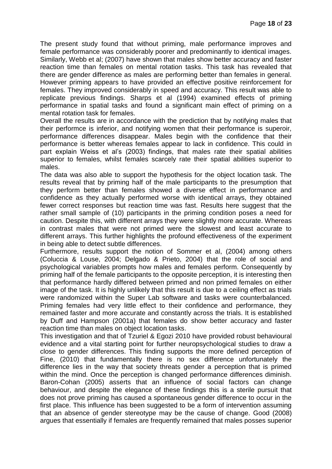The present study found that without priming, male performance improves and female performance was considerably poorer and predominantly to identical images. Similarly, Webb et al; (2007) have shown that males show better accuracy and faster reaction time than females on mental rotation tasks. This task has revealed that there are gender difference as males are performing better than females in general. However priming appears to have provided an effective positive reinforcement for females. They improved considerably in speed and accuracy. This result was able to replicate previous findings. Sharps et al (1994) examined effects of priming performance in spatial tasks and found a significant main effect of priming on a mental rotation task for females.

Overall the results are in accordance with the prediction that by notifying males that their performce is inferior, and notifying women that their performance is superoir, performance differences disappear. Males begin with the confidence that their performance is better whereas females appear to lack in confidence. This could in part explain Weiss et al's (2003) findings, that males rate their spatial abilities superior to females, whilst females scarcely rate their spatial abilities superior to males.

The data was also able to support the hypothesis for the object location task. The results reveal that by priming half of the male participants to the presumption that they perform better than females showed a diverse effect in performance and confidence as they actually performed worse with identical arrays, they obtained fewer correct responses but reaction time was fast. Results here suggest that the rather small sample of (10) participants in the priming condition poses a need for caution. Despite this, with different arrays they were slightly more accurate. Whereas in contrast males that were not primed were the slowest and least accurate to different arrays. This further highlights the profound effectiveness of the experiment in being able to detect subtle differences.

Furthermore, results support the notion of Sommer et al, (2004) among others (Coluccia & Louse, 2004; Delgado & Prieto, 2004) that the role of social and psychological variables prompts how males and females perform. Consequently by priming half of the female participants to the opposite perception, it is interesting then that performance hardly differed between primed and non primed females on either image of the task. It is highly unlikely that this result is due to a ceiling effect as trials were randomized within the Super Lab software and tasks were counterbalanced. Priming females had very little effect to their confidence and performance, they remained faster and more accurate and constantly across the trials. It is established by Duff and Hampson (2001a) that females do show better accuracy and faster reaction time than males on object location tasks.

This investigation and that of Tzuriel & Egozi 2010 have provided robust behavioural evidence and a vital starting point for further neuropsychological studies to draw a close to gender differences. This finding supports the more defined perception of Fine, (2010) that fundamentally there is no sex difference unfortunately the difference lies in the way that society threats gender a perception that is primed within the mind. Once the perception is changed performance differences diminish. Baron-Cohan (2005) asserts that an influence of social factors can change behaviour, and despite the elegance of these findings this is a sterile pursuit that does not prove priming has caused a spontaneous gender difference to occur in the first place. This influence has been suggested to be a form of intervention assuming that an absence of gender stereotype may be the cause of change. Good (2008) argues that essentially if females are frequently remained that males posses superior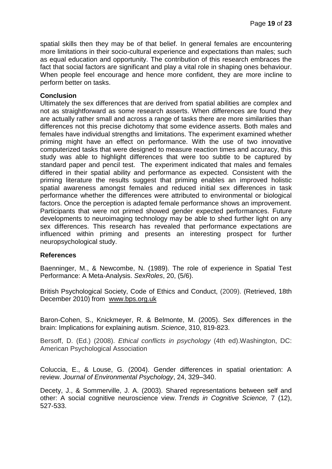spatial skills then they may be of that belief. In general females are encountering more limitations in their socio-cultural experience and expectations than males; such as equal education and opportunity. The contribution of this research embraces the fact that social factors are significant and play a vital role in shaping ones behaviour. When people feel encourage and hence more confident, they are more incline to perform better on tasks.

### **Conclusion**

Ultimately the sex differences that are derived from spatial abilities are complex and not as straightforward as some research asserts. When differences are found they are actually rather small and across a range of tasks there are more similarities than differences not this precise dichotomy that some evidence asserts. Both males and females have individual strengths and limitations. The experiment examined whether priming might have an effect on performance. With the use of two innovative computerized tasks that were designed to measure reaction times and accuracy, this study was able to highlight differences that were too subtle to be captured by standard paper and pencil test. The experiment indicated that males and females differed in their spatial ability and performance as expected. Consistent with the priming literature the results suggest that priming enables an improved holistic spatial awareness amongst females and reduced initial sex differences in task performance whether the differences were attributed to environmental or biological factors. Once the perception is adapted female performance shows an improvement. Participants that were not primed showed gender expected performances. Future developments to neuroimaging technology may be able to shed further light on any sex differences. This research has revealed that performance expectations are influenced within priming and presents an interesting prospect for further neuropsychological study.

#### **References**

Baenninger, M., & Newcombe, N. (1989). The role of experience in Spatial Test Performance: A Meta-Analysis. *SexRoles*, 20, (5/6).

British Psychological Society, Code of Ethics and Conduct, (2009). (Retrieved, 18th December 2010) from [www.bps.org.uk](http://www.bps.org.uk/)

Baron-Cohen, S., Knickmeyer, R. & Belmonte, M. (2005). Sex differences in the brain: Implications for explaining autism. *Science*, 310, 819-823.

Bersoff, D. (Ed.) (2008). *Ethical conflicts in psychology* (4th ed).Washington, DC: American Psychological Association

Coluccia, E., & Louse, G. (2004). Gender differences in spatial orientation: A review. *Journal of Environmental Psychology*, 24, 329–340.

Decety, J., & Sommerville, J. A. (2003). Shared representations between self and other: A social cognitive neuroscience view. *Trends in Cognitive Science,* 7 (12), 527-533.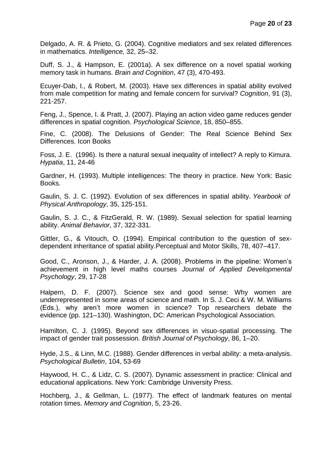Delgado, A. R. & Prieto, G. (2004). Cognitive mediators and sex related differences in mathematics. *Intelligence,* 32, 25–32.

Duff, S. J., & Hampson, E. (2001a). A sex difference on a novel spatial working memory task in humans. *Brain and Cognition*, 47 (3), 470-493.

Ecuyer-Dab, I., & Robert, M. (2003). Have sex differences in spatial ability evolved from male competition for mating and female concern for survival? *Cognition*, 91 (3), 221-257.

Feng, J., Spence, I. & Pratt, J. (2007). Playing an action video game reduces gender differences in spatial cognition. *Psychological Science*, 18, 850–855.

Fine, C. (2008). The Delusions of Gender: The Real Science Behind Sex Differences. Icon Books

Foss, J. E. (1996). Is there a natural sexual inequality of intellect? A reply to Kimura. *Hypatia*, 11, 24-46

Gardner, H. (1993). Multiple intelligences: The theory in practice. New York: Basic Books.

Gaulin, S. J. C. (1992). Evolution of sex differences in spatial ability. *Yearbook of Physical Anthropology*, 35, 125-151.

Gaulin, S. J. C., & FitzGerald, R. W. (1989). Sexual selection for spatial learning ability. *Animal Behavior*, 37, 322-331.

Gittler, G., & Vitouch, O. (1994). Empirical contribution to the question of sexdependent inheritance of spatial ability.Perceptual and Motor Skills, 78, 407–417.

Good, C., Aronson, J., & Harder, J. A. (2008). Problems in the pipeline: Women's achievement in high level maths courses *Journal of Applied Developmental Psychology*, 29, 17-28

Halpern, D. F. (2007). Science sex and good sense: Why women are underrepresented in some areas of science and math. In S. J. Ceci & W. M. Williams (Eds.), why aren't more women in science? Top researchers debate the evidence (pp. 121–130). Washington, DC: American Psychological Association.

Hamilton, C. J. (1995). Beyond sex differences in visuo-spatial processing. The impact of gender trait possession. *British Journal of Psychology*, 86, 1–20.

Hyde, J.S., & Linn, M.C. (1988). Gender differences in verbal ability: a meta-analysis. *Psychological Bulletin*, 104, 53-69

Haywood, H. C., & Lidz, C. S. (2007). Dynamic assessment in practice: Clinical and educational applications. New York: Cambridge University Press.

Hochberg, J., & Gellman, L. (1977). The effect of landmark features on mental rotation times. *Memory and Cognition*, 5, 23-26.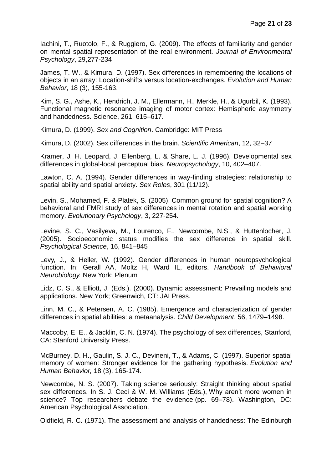Iachini, T., Ruotolo, F., & Ruggiero, G. (2009). The effects of familiarity and gender on mental spatial representation of the real environment. *Journal of Environmental Psychology*, 29,277-234

James, T. W., & Kimura, D. (1997). Sex differences in remembering the locations of objects in an array: Location-shifts versus location-exchanges. *Evolution and Human Behavior*, 18 (3), 155-163.

Kim, S. G., Ashe, K., Hendrich, J. M., Ellermann, H., Merkle, H., & Ugurbil, K. (1993). Functional magnetic resonance imaging of motor cortex: Hemispheric asymmetry and handedness. Science, 261, 615–617.

Kimura, D. (1999). *Sex and Cognition*. Cambridge: MIT Press

Kimura, D. (2002). Sex differences in the brain. *Scientific American*, 12, 32–37

Kramer, J. H. Leopard, J. Ellenberg, L. & Share, L. J. (1996). Developmental sex differences in global-local perceptual bias. *Neuropsychology*, 10, 402–407.

Lawton, C. A. (1994). Gender differences in way-finding strategies: relationship to spatial ability and spatial anxiety. *Sex Roles*, 301 (11/12).

Levin, S., Mohamed, F. & Platek, S. (2005). Common ground for spatial cognition? A behavioral and FMRI study of sex differences in mental rotation and spatial working memory. *Evolutionary Psychology*, 3, 227-254.

Levine, S. C., Vasilyeva, M., Lourenco, F., Newcombe, N.S., & Huttenlocher, J. (2005). Socioeconomic status modifies the sex difference in spatial skill. *Psychological Science*, 16, 841–845

Levy, J., & Heller, W. (1992). Gender differences in human neuropsychological function. In: Gerall AA, Moltz H, Ward IL, editors. *Handbook of Behavioral Neurobiology.* New York: Plenum

Lidz, C. S., & Elliott, J. (Eds.). (2000). Dynamic assessment: Prevailing models and applications. New York; Greenwich, CT: JAI Press.

Linn, M. C., & Petersen, A. C. (1985). Emergence and characterization of gender differences in spatial abilities: a metaanalysis. *Child Development*, 56, 1479–1498.

Maccoby, E. E., & Jacklin, C. N. (1974). The psychology of sex differences, Stanford, CA: Stanford University Press.

McBurney, D. H., Gaulin, S. J. C., Devineni, T., & Adams, C. (1997). Superior spatial memory of women: Stronger evidence for the gathering hypothesis. *Evolution and Human Behavior,* 18 (3), 165-174.

Newcombe, N. S. (2007). Taking science seriously: Straight thinking about spatial sex differences. In S. J. Ceci & W. M. Williams (Eds.), Why aren't more women in science? Top researchers debate the evidence (pp. 69–78). Washington, DC: American Psychological Association.

Oldfield, R. C. (1971). The assessment and analysis of handedness: The Edinburgh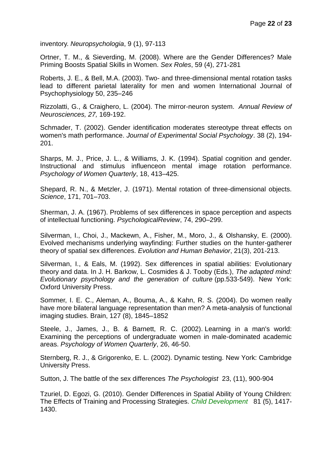inventory. *Neuropsychologia*, 9 (1), 97-113

Ortner, T. M., & Sieverding, M. (2008). Where are the Gender Differences? Male Priming Boosts Spatial Skills in Women. *Sex Roles*, 59 (4), 271-281

Roberts, J. E., & Bell, M.A. (2003). Two- and three-dimensional mental rotation tasks lead to different parietal laterality for men and women International Journal of Psychophysiology 50, 235–246

Rizzolatti, G., & Craighero, L. (2004). The mirror-neuron system. *Annual Review of Neurosciences, 27,* 169-192.

Schmader, T. (2002). Gender identification moderates stereotype threat effects on women's math performance. *Journal of Experimental Social Psychology*. 38 (2), 194- 201.

Sharps, M. J., Price, J. L., & Williams, J. K. (1994). Spatial cognition and gender. Instructional and stimulus influenceon mental image rotation performance. *Psychology of Women Quarterly*, 18, 413–425.

Shepard, R. N., & Metzler, J. (1971). Mental rotation of three-dimensional objects. *Science*, 171, 701–703.

Sherman, J. A. (1967). Problems of sex differences in space perception and aspects of intellectual functioning. *PsychologicalReview*, 74, 290–299.

Silverman, I., Choi, J., Mackewn, A., Fisher, M., Moro, J., & Olshansky, E. (2000). Evolved mechanisms underlying wayfinding: Further studies on the hunter-gatherer theory of spatial sex differences. *Evolution and Human Behavior*, 21(3), 201-213.

Silverman, I., & Eals, M. (1992). Sex differences in spatial abilities: Evolutionary theory and data. In J. H. Barkow, L. Cosmides & J. Tooby (Eds.), *The adapted mind: Evolutionary psychology and the generation of culture* (pp.533-549). New York: Oxford University Press.

Sommer, I. E. C., Aleman, A., Bouma, A., & Kahn, R. S. (2004). Do women really have more bilateral language representation than men? A meta-analysis of functional imaging studies. Brain, 127 (8), 1845–1852

Steele, J., James, J., B. & Barnett, R. C. (2002). [Learning in a man's world:](http://www.atkinson.yorku.ca/~jsteele/files/Steeleetal_PWQ_2002.pdf)  [Examining the perceptions of undergraduate women in male-dominated academic](http://www.atkinson.yorku.ca/~jsteele/files/Steeleetal_PWQ_2002.pdf)  [areas.](http://www.atkinson.yorku.ca/~jsteele/files/Steeleetal_PWQ_2002.pdf) *Psychology of Women Quarterly*, 26, 46-50.

Sternberg, R. J., & Grigorenko, E. L. (2002). Dynamic testing. New York: Cambridge University Press.

Sutton, J. The battle of the sex differences *The Psychologist* 23, (11), 900-904

Tzuriel, D. Egozi, G. (2010). Gender Differences in Spatial Ability of Young Children: The Effects of Training and Processing Strategies. *Child Development* 81 (5), 1417- 1430.